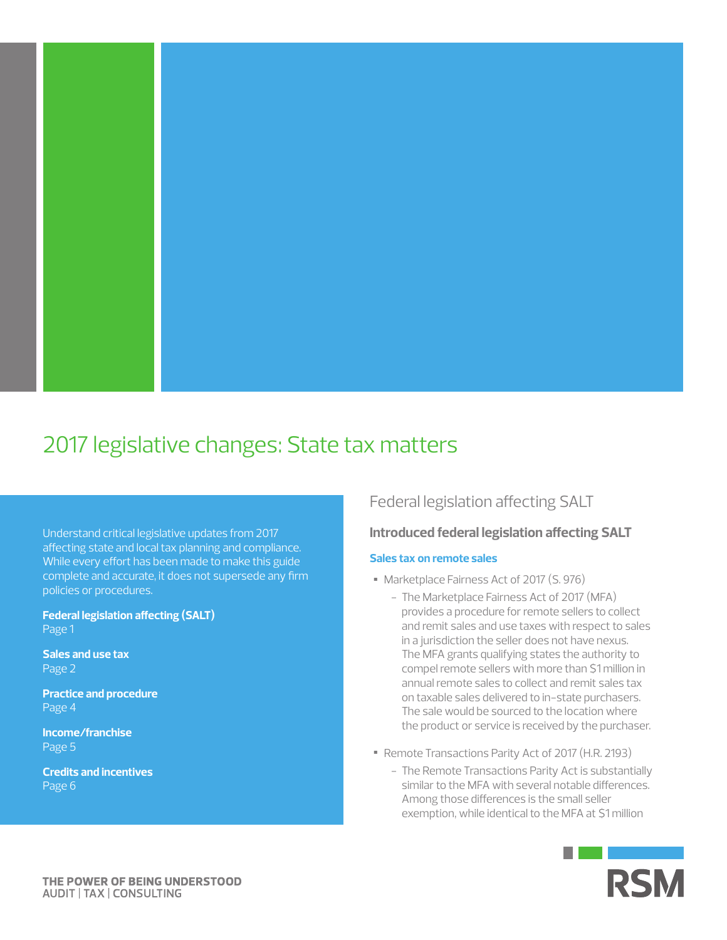

# 2017 legislative changes: State tax matters

Understand critical legislative updates from 2017 affecting state and local tax planning and compliance. While every effort has been made to make this guide complete and accurate, it does not supersede any firm policies or procedures.

**Federal legislation affecting (SALT)**  Page 1

**Sales and use tax**  Page 2

**Practice and procedure**  Page 4

**Income/franchise**  Page 5

**Credits and incentives**  Page 6

# Federal legislation affecting SALT

### **Introduced federal legislation affecting SALT**

### **Sales tax on remote sales**

- Marketplace Fairness Act of 2017 (S. 976)
	- The Marketplace Fairness Act of 2017 (MFA) provides a procedure for remote sellers to collect and remit sales and use taxes with respect to sales in a jurisdiction the seller does not have nexus. The MFA grants qualifying states the authority to compel remote sellers with more than \$1 million in annual remote sales to collect and remit sales tax on taxable sales delivered to in-state purchasers. The sale would be sourced to the location where the product or service is received by the purchaser.
- Remote Transactions Parity Act of 2017 (H.R. 2193)
	- The Remote Transactions Parity Act is substantially similar to the MFA with several notable differences. Among those differences is the small seller exemption, while identical to the MFA at \$1 million

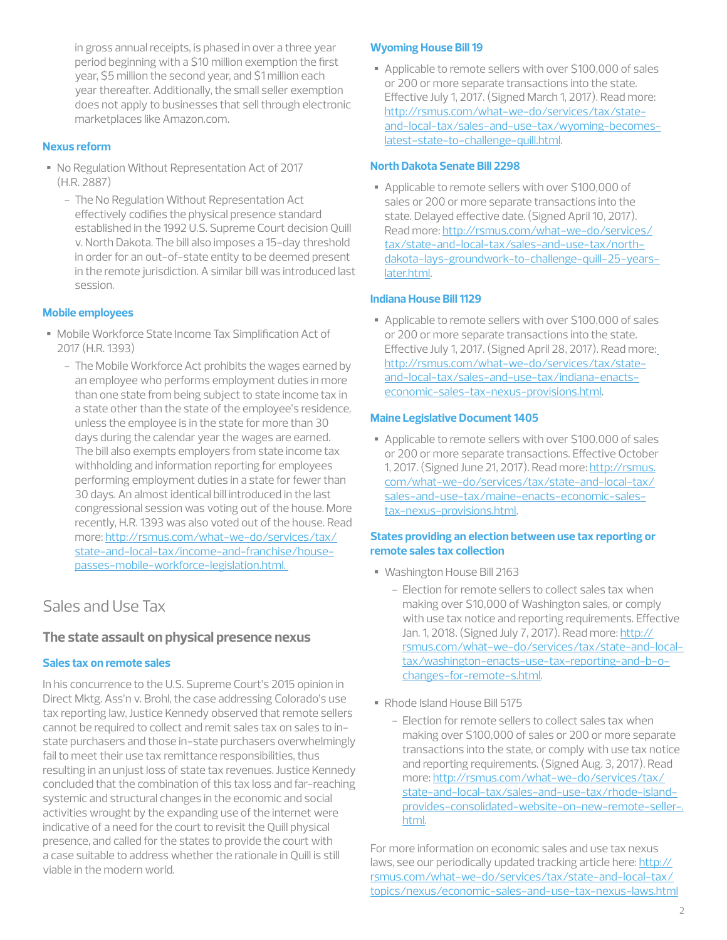in gross annual receipts, is phased in over a three year period beginning with a \$10 million exemption the first year, \$5 million the second year, and \$1 million each year thereafter. Additionally, the small seller exemption does not apply to businesses that sell through electronic marketplaces like Amazon.com.

### **Nexus reform**

- No Regulation Without Representation Act of 2017 (H.R. 2887)
	- The No Regulation Without Representation Act effectively codifies the physical presence standard established in the 1992 U.S. Supreme Court decision Quill v. North Dakota. The bill also imposes a 15-day threshold in order for an out-of-state entity to be deemed present in the remote jurisdiction. A similar bill was introduced last session.

### **Mobile employees**

- Mobile Workforce State Income Tax Simplification Act of 2017 (H.R. 1393)
	- The Mobile Workforce Act prohibits the wages earned by an employee who performs employment duties in more than one state from being subject to state income tax in a state other than the state of the employee's residence, unless the employee is in the state for more than 30 days during the calendar year the wages are earned. The bill also exempts employers from state income tax withholding and information reporting for employees performing employment duties in a state for fewer than 30 days. An almost identical bill introduced in the last congressional session was voting out of the house. More recently, H.R. 1393 was also voted out of the house. Read more: http://rsmus.com/what-we-do/services/tax/ state-and-local-tax/income-and-franchise/housepasses-mobile-workforce-legislation.html.

# Sales and Use Tax

### **The state assault on physical presence nexus**

### **Sales tax on remote sales**

In his concurrence to the U.S. Supreme Court's 2015 opinion in Direct Mktg. Ass'n v. Brohl, the case addressing Colorado's use tax reporting law, Justice Kennedy observed that remote sellers cannot be required to collect and remit sales tax on sales to instate purchasers and those in-state purchasers overwhelmingly fail to meet their use tax remittance responsibilities, thus resulting in an unjust loss of state tax revenues. Justice Kennedy concluded that the combination of this tax loss and far-reaching systemic and structural changes in the economic and social activities wrought by the expanding use of the internet were indicative of a need for the court to revisit the Quill physical presence, and called for the states to provide the court with a case suitable to address whether the rationale in Quill is still viable in the modern world.

### **Wyoming House Bill 19**

• Applicable to remote sellers with over \$100,000 of sales or 200 or more separate transactions into the state. Effective July 1, 2017. (Signed March 1, 2017). Read more: http://rsmus.com/what-we-do/services/tax/stateand-local-tax/sales-and-use-tax/wyoming-becomeslatest-state-to-challenge-quill.html.

### **North Dakota Senate Bill 2298**

• Applicable to remote sellers with over \$100,000 of sales or 200 or more separate transactions into the state. Delayed effective date. (Signed April 10, 2017). Read more: http://rsmus.com/what-we-do/services/ tax/state-and-local-tax/sales-and-use-tax/northdakota-lays-groundwork-to-challenge-quill-25-yearslater.html.

### **Indiana House Bill 1129**

• Applicable to remote sellers with over \$100,000 of sales or 200 or more separate transactions into the state. Effective July 1, 2017. (Signed April 28, 2017). Read more: http://rsmus.com/what-we-do/services/tax/stateand-local-tax/sales-and-use-tax/indiana-enactseconomic-sales-tax-nexus-provisions.html.

### **Maine Legislative Document 1405**

• Applicable to remote sellers with over \$100,000 of sales or 200 or more separate transactions. Effective October 1, 2017. (Signed June 21, 2017). Read more: http://rsmus. com/what-we-do/services/tax/state-and-local-tax/ sales-and-use-tax/maine-enacts-economic-salestax-nexus-provisions.html.

### **States providing an election between use tax reporting or remote sales tax collection**

- Washington House Bill 2163
	- Election for remote sellers to collect sales tax when making over \$10,000 of Washington sales, or comply with use tax notice and reporting requirements. Effective Jan. 1, 2018. (Signed July 7, 2017). Read more: http:// rsmus.com/what-we-do/services/tax/state-and-localtax/washington-enacts-use-tax-reporting-and-b-ochanges-for-remote-s.html.
- Rhode Island House Bill 5175
	- Election for remote sellers to collect sales tax when making over \$100,000 of sales or 200 or more separate transactions into the state, or comply with use tax notice and reporting requirements. (Signed Aug. 3, 2017). Read more: http://rsmus.com/what-we-do/services/tax/ state-and-local-tax/sales-and-use-tax/rhode-islandprovides-consolidated-website-on-new-remote-seller-. html.

For more information on economic sales and use tax nexus laws, see our periodically updated tracking article here: http:// rsmus.com/what-we-do/services/tax/state-and-local-tax/ topics/nexus/economic-sales-and-use-tax-nexus-laws.html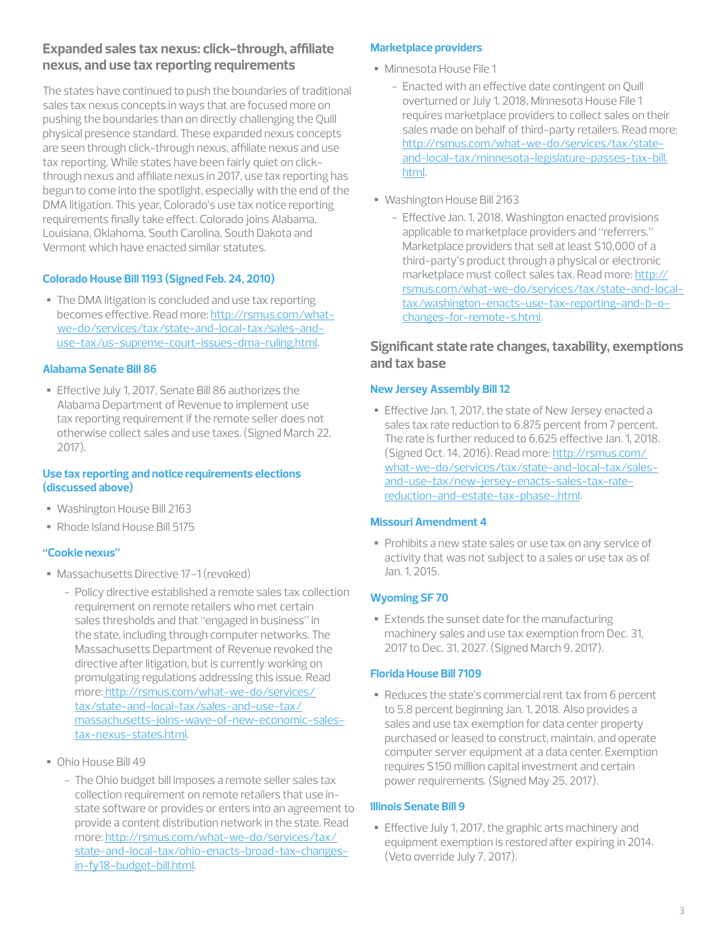### **Expanded sales tax nexus: click-through, affiliate nexus, and use tax reporting requirements**

The states have continued to push the boundaries of traditional sales tax nexus concepts in ways that are focused more on pushing the boundaries than on directly challenging the Quill physical presence standard. These expanded nexus concepts are seen through click-through nexus, affiliate nexus and use tax reporting. While states have been fairly quiet on clickthrough nexus and affiliate nexus in 2017, use tax reporting has begun to come into the spotlight, especially with the end of the DMA litigation. This year, Colorado's use tax notice reporting requirements finally take effect. Colorado joins Alabama, Louisiana, Oklahoma, South Carolina, South Dakota and Vermont which have enacted similar statutes.

### **Colorado House Bill 1193 (Signed Feb. 24, 2010)**

• The DMA litigation is concluded and use tax reporting becomes effective. Read more: http://rsmus.com/whatwe-do/services/tax/state-and-local-tax/sales-anduse-tax/us-supreme-court-issues-dma-ruling.html.

### **Alabama Senate Bill 86**

• Effective July 1, 2017, Senate Bill 86 authorizes the Alabama Department of Revenue to implement use tax reporting requirement if the remote seller does not otherwise collect sales and use taxes. (Signed March 22, 2017).

### **Use tax reporting and notice requirements elections (discussed above)**

- Washington House Bill 2163
- Rhode Island House Bill 5175

### **"Cookie nexus"**

- Massachusetts Directive 17-1 (revoked)
	- Policy directive established a remote sales tax collection requirement on remote retailers who met certain sales thresholds and that "engaged in business" in the state, including through computer networks. The Massachusetts Department of Revenue revoked the directive after litigation, but is currently working on promulgating regulations addressing this issue. Read more: http://rsmus.com/what-we-do/services/ tax/state-and-local-tax/sales-and-use-tax/ massachusetts-joins-wave-of-new-economic-salestax-nexus-states.html.
- Ohio House Bill 49
	- The Ohio budget bill imposes a remote seller sales tax collection requirement on remote retailers that use instate software or provides or enters into an agreement to provide a content distribution network in the state. Read more: http://rsmus.com/what-we-do/services/tax/ state-and-local-tax/ohio-enacts-broad-tax-changesin-fy18-budget-bill.html.

### **Marketplace providers**

- Minnesota House File 1
	- Enacted with an effective date contingent on Quill overturned or July 1, 2018, Minnesota House File 1 requires marketplace providers to collect sales on their sales made on behalf of third-party retailers. Read more: http://rsmus.com/what-we-do/services/tax/stateand-local-tax/minnesota-legislature-passes-tax-bill. html.
- Washington House Bill 2163
	- Effective Jan. 1, 2018, Washington enacted provisions applicable to marketplace providers and "referrers." Marketplace providers that sell at least \$10,000 of a third-party's product through a physical or electronic marketplace must collect sales tax. Read more: http:// rsmus.com/what-we-do/services/tax/state-and-localtax/washington-enacts-use-tax-reporting-and-b-ochanges-for-remote-s.html.

### **Significant state rate changes, taxability, exemptions and tax base**

### **New Jersey Assembly Bill 12**

• Effective Jan. 1, 2017, the state of New Jersey enacted a sales tax rate reduction to 6.875 percent from 7 percent. The rate is further reduced to 6.625 effective Jan. 1, 2018. (Signed Oct. 14, 2016). Read more: http://rsmus.com/ what-we-do/services/tax/state-and-local-tax/salesand-use-tax/new-jersey-enacts-sales-tax-ratereduction-and-estate-tax-phase-.html.

### **Missouri Amendment 4**

• Prohibits a new state sales or use tax on any service of activity that was not subject to a sales or use tax as of Jan. 1, 2015.

### **Wyoming SF 70**

• Extends the sunset date for the manufacturing machinery sales and use tax exemption from Dec. 31, 2017 to Dec. 31, 2027. (Signed March 9, 2017).

### **Florida House Bill 7109**

• Reduces the state's commercial rent tax from 6 percent to 5.8 percent beginning Jan. 1, 2018. Also provides a sales and use tax exemption for data center property purchased or leased to construct, maintain, and operate computer server equipment at a data center. Exemption requires \$150 million capital investment and certain power requirements. (Signed May 25, 2017).

### **Illinois Senate Bill 9**

• Effective July 1, 2017, the graphic arts machinery and equipment exemption is restored after expiring in 2014. (Veto override July 7, 2017).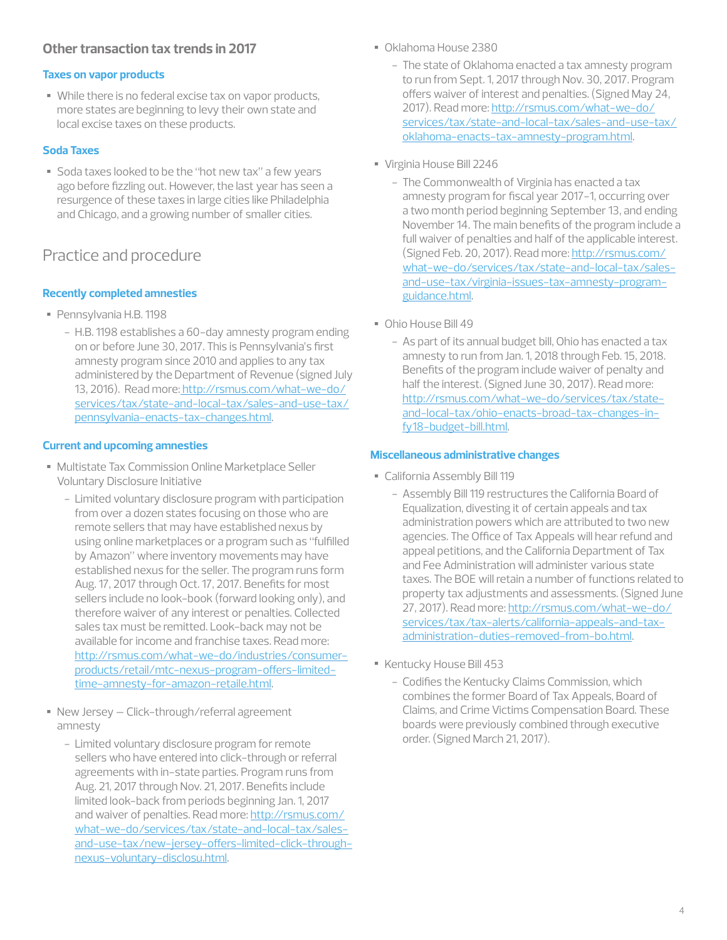### **Other transaction tax trends in 2017**

### **Taxes on vapor products**

• While there is no federal excise tax on vapor products, more states are beginning to levy their own state and local excise taxes on these products.

### **Soda Taxes**

• Soda taxes looked to be the "hot new tax" a few years ago before fizzling out. However, the last year has seen a resurgence of these taxes in large cities like Philadelphia and Chicago, and a growing number of smaller cities.

# Practice and procedure

### **Recently completed amnesties**

- Pennsylvania H.B. 1198
	- H.B. 1198 establishes a 60-day amnesty program ending on or before June 30, 2017. This is Pennsylvania's first amnesty program since 2010 and applies to any tax administered by the Department of Revenue (signed July 13, 2016). Read more: http://rsmus.com/what-we-do/ services/tax/state-and-local-tax/sales-and-use-tax/ pennsylvania-enacts-tax-changes.html.

### **Current and upcoming amnesties**

- Multistate Tax Commission Online Marketplace Seller Voluntary Disclosure Initiative
	- Limited voluntary disclosure program with participation from over a dozen states focusing on those who are remote sellers that may have established nexus by using online marketplaces or a program such as "fulfilled by Amazon" where inventory movements may have established nexus for the seller. The program runs form Aug. 17, 2017 through Oct. 17, 2017. Benefits for most sellers include no look-book (forward looking only), and therefore waiver of any interest or penalties. Collected sales tax must be remitted. Look-back may not be available for income and franchise taxes. Read more: http://rsmus.com/what-we-do/industries/consumerproducts/retail/mtc-nexus-program-offers-limitedtime-amnesty-for-amazon-retaile.html.
- New Jersey Click-through/referral agreement amnesty
	- Limited voluntary disclosure program for remote sellers who have entered into click-through or referral agreements with in-state parties. Program runs from Aug. 21, 2017 through Nov. 21, 2017. Benefits include limited look-back from periods beginning Jan. 1, 2017 and waiver of penalties. Read more: http://rsmus.com/ what-we-do/services/tax/state-and-local-tax/salesand-use-tax/new-jersey-offers-limited-click-throughnexus-voluntary-disclosu.html.
- Oklahoma House 2380
	- The state of Oklahoma enacted a tax amnesty program to run from Sept. 1, 2017 through Nov. 30, 2017. Program offers waiver of interest and penalties. (Signed May 24, 2017). Read more: http://rsmus.com/what-we-do/ services/tax/state-and-local-tax/sales-and-use-tax/ oklahoma-enacts-tax-amnesty-program.html.
- Virginia House Bill 2246
	- The Commonwealth of Virginia has enacted a tax amnesty program for fiscal year 2017-1, occurring over a two month period beginning September 13, and ending November 14. The main benefits of the program include a full waiver of penalties and half of the applicable interest. (Signed Feb. 20, 2017). Read more: http://rsmus.com/ what-we-do/services/tax/state-and-local-tax/salesand-use-tax/virginia-issues-tax-amnesty-programguidance.html.
- Ohio House Bill 49
	- As part of its annual budget bill, Ohio has enacted a tax amnesty to run from Jan. 1, 2018 through Feb. 15, 2018. Benefits of the program include waiver of penalty and half the interest. (Signed June 30, 2017). Read more: http://rsmus.com/what-we-do/services/tax/stateand-local-tax/ohio-enacts-broad-tax-changes-infy18-budget-bill.html.

### **Miscellaneous administrative changes**

- California Assembly Bill 119
	- Assembly Bill 119 restructures the California Board of Equalization, divesting it of certain appeals and tax administration powers which are attributed to two new agencies. The Office of Tax Appeals will hear refund and appeal petitions, and the California Department of Tax and Fee Administration will administer various state taxes. The BOE will retain a number of functions related to property tax adjustments and assessments. (Signed June 27, 2017). Read more: http://rsmus.com/what-we-do/ services/tax/tax-alerts/california-appeals-and-taxadministration-duties-removed-from-bo.html.
- Kentucky House Bill 453
	- Codifies the Kentucky Claims Commission, which combines the former Board of Tax Appeals, Board of Claims, and Crime Victims Compensation Board. These boards were previously combined through executive order. (Signed March 21, 2017).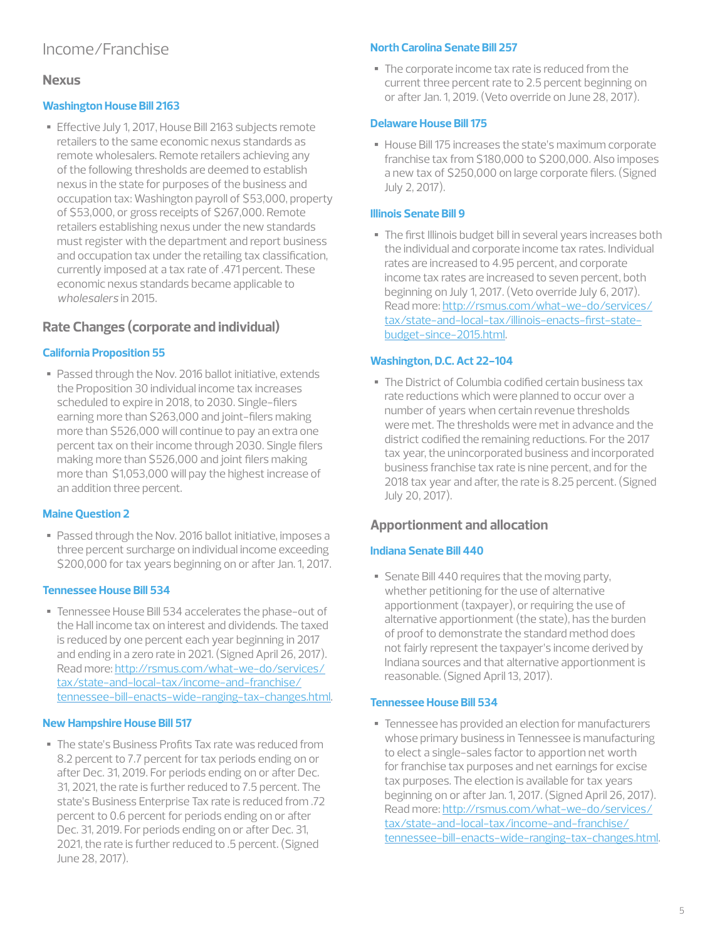# Income/Franchise

### **Nexus**

### **Washington House Bill 2163**

• Effective July 1, 2017, House Bill 2163 subjects remote retailers to the same economic nexus standards as remote wholesalers. Remote retailers achieving any of the following thresholds are deemed to establish nexus in the state for purposes of the business and occupation tax: Washington payroll of \$53,000, property of \$53,000, or gross receipts of \$267,000. Remote retailers establishing nexus under the new standards must register with the department and report business and occupation tax under the retailing tax classification, currently imposed at a tax rate of .471 percent. These economic nexus standards became applicable to *wholesalers* in 2015.

### **Rate Changes (corporate and individual)**

### **California Proposition 55**

• Passed through the Nov. 2016 ballot initiative, extends the Proposition 30 individual income tax increases scheduled to expire in 2018, to 2030. Single-filers earning more than \$263,000 and joint-filers making more than \$526,000 will continue to pay an extra one percent tax on their income through 2030. Single filers making more than \$526,000 and joint filers making more than \$1,053,000 will pay the highest increase of an addition three percent.

### **Maine Question 2**

• Passed through the Nov. 2016 ballot initiative, imposes a three percent surcharge on individual income exceeding \$200,000 for tax years beginning on or after Jan. 1, 2017.

### **Tennessee House Bill 534**

• Tennessee House Bill 534 accelerates the phase-out of the Hall income tax on interest and dividends. The taxed is reduced by one percent each year beginning in 2017 and ending in a zero rate in 2021. (Signed April 26, 2017). Read more: http://rsmus.com/what-we-do/services/ tax/state-and-local-tax/income-and-franchise/ tennessee-bill-enacts-wide-ranging-tax-changes.html.

### **New Hampshire House Bill 517**

• The state's Business Profits Tax rate was reduced from 8.2 percent to 7.7 percent for tax periods ending on or after Dec. 31, 2019. For periods ending on or after Dec. 31, 2021, the rate is further reduced to 7.5 percent. The state's Business Enterprise Tax rate is reduced from .72 percent to 0.6 percent for periods ending on or after Dec. 31, 2019. For periods ending on or after Dec. 31, 2021, the rate is further reduced to .5 percent. (Signed June 28, 2017).

### **North Carolina Senate Bill 257**

• The corporate income tax rate is reduced from the current three percent rate to 2.5 percent beginning on or after Jan. 1, 2019. (Veto override on June 28, 2017).

### **Delaware House Bill 175**

• House Bill 175 increases the state's maximum corporate franchise tax from \$180,000 to \$200,000. Also imposes a new tax of \$250,000 on large corporate filers. (Signed July 2, 2017).

### **Illinois Senate Bill 9**

• The first Illinois budget bill in several years increases both the individual and corporate income tax rates. Individual rates are increased to 4.95 percent, and corporate income tax rates are increased to seven percent, both beginning on July 1, 2017. (Veto override July 6, 2017). Read more: http://rsmus.com/what-we-do/services/ tax/state-and-local-tax/illinois-enacts-first-statebudget-since-2015.html.

### **Washington, D.C. Act 22-104**

• The District of Columbia codified certain business tax rate reductions which were planned to occur over a number of years when certain revenue thresholds were met. The thresholds were met in advance and the district codified the remaining reductions. For the 2017 tax year, the unincorporated business and incorporated business franchise tax rate is nine percent, and for the 2018 tax year and after, the rate is 8.25 percent. (Signed July 20, 2017).

### **Apportionment and allocation**

### **Indiana Senate Bill 440**

• Senate Bill 440 requires that the moving party, whether petitioning for the use of alternative apportionment (taxpayer), or requiring the use of alternative apportionment (the state), has the burden of proof to demonstrate the standard method does not fairly represent the taxpayer's income derived by Indiana sources and that alternative apportionment is reasonable. (Signed April 13, 2017).

### **Tennessee House Bill 534**

• Tennessee has provided an election for manufacturers whose primary business in Tennessee is manufacturing to elect a single-sales factor to apportion net worth for franchise tax purposes and net earnings for excise tax purposes. The election is available for tax years beginning on or after Jan. 1, 2017. (Signed April 26, 2017). Read more: http://rsmus.com/what-we-do/services/ tax/state-and-local-tax/income-and-franchise/ tennessee-bill-enacts-wide-ranging-tax-changes.html.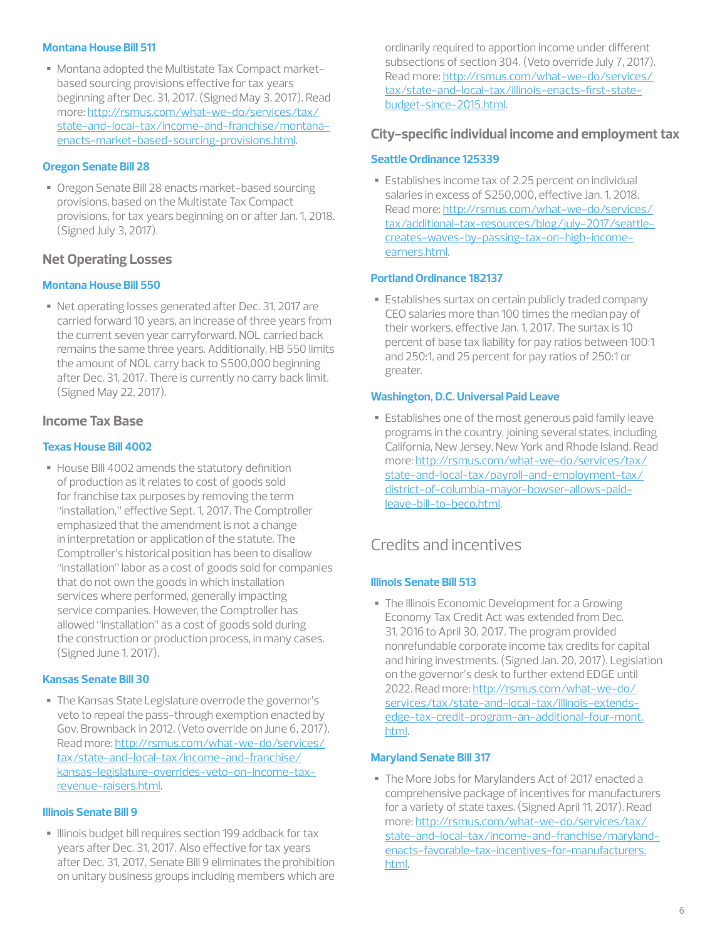### **Montana House Bill 511**

• Montana adopted the Multistate Tax Compact marketbased sourcing provisions effective for tax years beginning after Dec. 31, 2017. (Signed May 3, 2017). Read more: http://rsmus.com/what-we-do/services/tax/ state-and-local-tax/income-and-franchise/montanaenacts-market-based-sourcing-provisions.html.

### **Oregon Senate Bill 28**

• Oregon Senate Bill 28 enacts market-based sourcing provisions, based on the Multistate Tax Compact provisions, for tax years beginning on or after Jan. 1, 2018. (Signed July 3, 2017).

### **Net Operating Losses**

### **Montana House Bill 550**

• Net operating losses generated after Dec. 31, 2017 are carried forward 10 years, an increase of three years from the current seven year carryforward. NOL carried back remains the same three years. Additionally, HB 550 limits the amount of NOL carry back to \$500,000 beginning after Dec. 31, 2017. There is currently no carry back limit. (Signed May 22, 2017).

### **Income Tax Base**

### **Texas House Bill 4002**

• House Bill 4002 amends the statutory definition of production as it relates to cost of goods sold for franchise tax purposes by removing the term "installation," effective Sept. 1, 2017. The Comptroller emphasized that the amendment is not a change in interpretation or application of the statute. The Comptroller's historical position has been to disallow "installation" labor as a cost of goods sold for companies that do not own the goods in which installation services where performed, generally impacting service companies. However, the Comptroller has allowed "installation" as a cost of goods sold during the construction or production process, in many cases. (Signed June 1, 2017).

### **Kansas Senate Bill 30**

• The Kansas State Legislature overrode the governor's veto to repeal the pass-through exemption enacted by Gov. Brownback in 2012. (Veto override on June 6, 2017). Read more: http://rsmus.com/what-we-do/services/ tax/state-and-local-tax/income-and-franchise/ kansas-legislature-overrides-veto-on-income-taxrevenue-raisers.html.

### **Illinois Senate Bill 9**

• Illinois budget bill requires section 199 addback for tax years after Dec. 31, 2017. Also effective for tax years after Dec. 31, 2017, Senate Bill 9 eliminates the prohibition on unitary business groups including members which are ordinarily required to apportion income under different subsections of section 304. (Veto override July 7, 2017). Read more: http://rsmus.com/what-we-do/services/ tax/state-and-local-tax/illinois-enacts-first-statebudget-since-2015.html.

### **City-specific individual income and employment tax**

### **Seattle Ordinance 125339**

• Establishes income tax of 2.25 percent on individual salaries in excess of \$250,000, effective Jan. 1, 2018. Read more: http://rsmus.com/what-we-do/services/ tax/additional-tax-resources/blog/july-2017/seattlecreates-waves-by-passing-tax-on-high-incomeearners.html.

### **Portland Ordinance 182137**

• Establishes surtax on certain publicly traded company CEO salaries more than 100 times the median pay of their workers, effective Jan. 1, 2017. The surtax is 10 percent of base tax liability for pay ratios between 100:1 and 250:1, and 25 percent for pay ratios of 250:1 or greater.

### **Washington, D.C. Universal Paid Leave**

• Establishes one of the most generous paid family leave programs in the country, joining several states, including California, New Jersey, New York and Rhode Island. Read more: http://rsmus.com/what-we-do/services/tax/ state-and-local-tax/payroll-and-employment-tax/ district-of-columbia-mayor-bowser-allows-paidleave-bill-to-beco.html.

### Credits and incentives

### **Illinois Senate Bill 513**

• The Illinois Economic Development for a Growing Economy Tax Credit Act was extended from Dec. 31, 2016 to April 30, 2017. The program provided nonrefundable corporate income tax credits for capital and hiring investments. (Signed Jan. 20, 2017). Legislation on the governor's desk to further extend EDGE until 2022. Read more: http://rsmus.com/what-we-do/ services/tax/state-and-local-tax/illinois-extendsedge-tax-credit-program-an-additional-four-mont. html.

### **Maryland Senate Bill 317**

• The More Jobs for Marylanders Act of 2017 enacted a comprehensive package of incentives for manufacturers for a variety of state taxes. (Signed April 11, 2017). Read more: http://rsmus.com/what-we-do/services/tax/ state-and-local-tax/income-and-franchise/marylandenacts-favorable-tax-incentives-for-manufacturers. html.